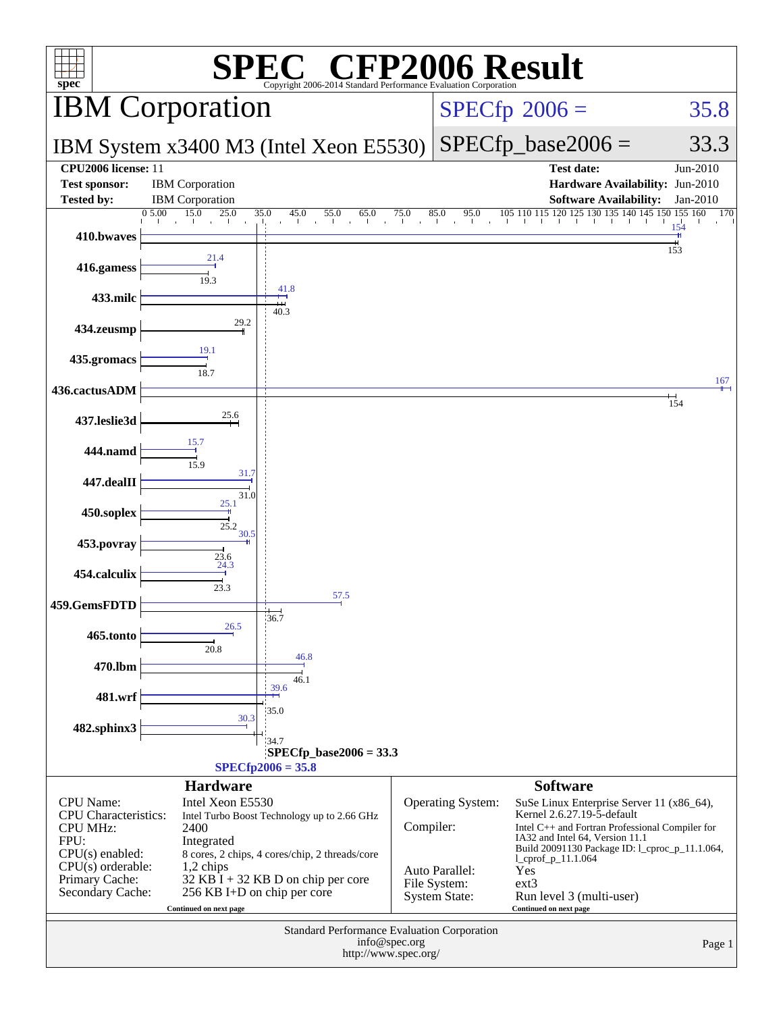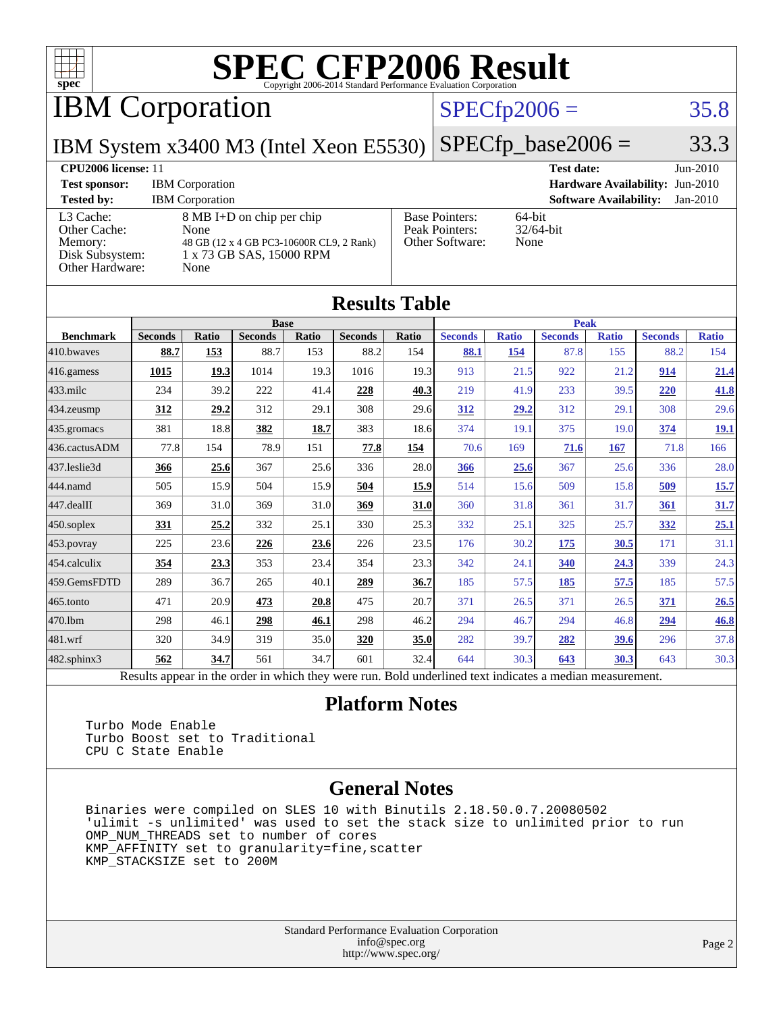

IBM Corporation

### $SPECTp2006 = 35.8$

IBM System x3400 M3 (Intel Xeon E5530)

 $SPECTp\_base2006 = 33.3$ 

#### **[CPU2006 license:](http://www.spec.org/auto/cpu2006/Docs/result-fields.html#CPU2006license)** 11 **[Test date:](http://www.spec.org/auto/cpu2006/Docs/result-fields.html#Testdate)** Jun-2010 **[Test sponsor:](http://www.spec.org/auto/cpu2006/Docs/result-fields.html#Testsponsor)** IBM Corporation **[Hardware Availability:](http://www.spec.org/auto/cpu2006/Docs/result-fields.html#HardwareAvailability)** Jun-2010 **[Tested by:](http://www.spec.org/auto/cpu2006/Docs/result-fields.html#Testedby)** IBM Corporation **[Software Availability:](http://www.spec.org/auto/cpu2006/Docs/result-fields.html#SoftwareAvailability)** Jan-2010 [L3 Cache:](http://www.spec.org/auto/cpu2006/Docs/result-fields.html#L3Cache) 8 MB I+D on chip per chip [Other Cache:](http://www.spec.org/auto/cpu2006/Docs/result-fields.html#OtherCache) [Memory:](http://www.spec.org/auto/cpu2006/Docs/result-fields.html#Memory) 48 GB (12 x 4 GB PC3-10600R CL9, 2 Rank) [Disk Subsystem:](http://www.spec.org/auto/cpu2006/Docs/result-fields.html#DiskSubsystem) 1 x 73 GB SAS, 15000 RPM [Other Hardware:](http://www.spec.org/auto/cpu2006/Docs/result-fields.html#OtherHardware) None [Base Pointers:](http://www.spec.org/auto/cpu2006/Docs/result-fields.html#BasePointers) 64-bit<br>Peak Pointers: 32/64-bit [Peak Pointers:](http://www.spec.org/auto/cpu2006/Docs/result-fields.html#PeakPointers) [Other Software:](http://www.spec.org/auto/cpu2006/Docs/result-fields.html#OtherSoftware) None

| <b>Results Table</b> |                                                                                                          |              |                |       |                |       |                |              |                |              |                |              |
|----------------------|----------------------------------------------------------------------------------------------------------|--------------|----------------|-------|----------------|-------|----------------|--------------|----------------|--------------|----------------|--------------|
|                      | <b>Base</b>                                                                                              |              |                |       |                |       | <b>Peak</b>    |              |                |              |                |              |
| <b>Benchmark</b>     | <b>Seconds</b>                                                                                           | <b>Ratio</b> | <b>Seconds</b> | Ratio | <b>Seconds</b> | Ratio | <b>Seconds</b> | <b>Ratio</b> | <b>Seconds</b> | <b>Ratio</b> | <b>Seconds</b> | <b>Ratio</b> |
| 410.bwayes           | 88.7                                                                                                     | 153          | 88.7           | 153   | 88.2           | 154   | 88.1           | 154          | 87.8           | 155          | 88.2           | 154          |
| 416.gamess           | 1015                                                                                                     | 19.3         | 1014           | 19.3  | 1016           | 19.3  | 913            | 21.5         | 922            | 21.2         | 914            | 21.4         |
| $433$ .milc          | 234                                                                                                      | 39.2         | 222            | 41.4  | 228            | 40.3  | 219            | 41.9         | 233            | 39.5         | 220            | 41.8         |
| $434$ . zeusmp       | 312                                                                                                      | 29.2         | 312            | 29.1  | 308            | 29.6  | 312            | 29.2         | 312            | 29.1         | 308            | 29.6         |
| $435.$ gromacs       | 381                                                                                                      | 18.8         | 382            | 18.7  | 383            | 18.6  | 374            | 19.1         | 375            | 19.0         | 374            | <u>19.1</u>  |
| 436.cactusADM        | 77.8                                                                                                     | 154          | 78.9           | 151   | 77.8           | 154   | 70.6           | 169          | 71.6           | 167          | 71.8           | 166          |
| 437.leslie3d         | 366                                                                                                      | 25.6         | 367            | 25.6  | 336            | 28.0  | 366            | 25.6         | 367            | 25.6         | 336            | 28.0         |
| 444.namd             | 505                                                                                                      | 15.9         | 504            | 15.9  | 504            | 15.9  | 514            | 15.6         | 509            | 15.8         | 509            | 15.7         |
| $447$ .dealII        | 369                                                                                                      | 31.0         | 369            | 31.0  | 369            | 31.0  | 360            | 31.8         | 361            | 31.7         | 361            | 31.7         |
| $450$ .soplex        | 331                                                                                                      | 25.2         | 332            | 25.1  | 330            | 25.3  | 332            | 25.1         | 325            | 25.7         | <u>332</u>     | 25.1         |
| $453$ .povray        | 225                                                                                                      | 23.6         | 226            | 23.6  | 226            | 23.5  | 176            | 30.2         | 175            | 30.5         | 171            | 31.1         |
| $ 454$ .calculix     | 354                                                                                                      | 23.3         | 353            | 23.4  | 354            | 23.3  | 342            | 24.1         | 340            | 24.3         | 339            | 24.3         |
| 459.GemsFDTD         | 289                                                                                                      | 36.7         | 265            | 40.1  | 289            | 36.7  | 185            | 57.5         | 185            | 57.5         | 185            | 57.5         |
| $465$ .tonto         | 471                                                                                                      | 20.9         | 473            | 20.8  | 475            | 20.7  | 371            | 26.5         | 371            | 26.5         | 371            | 26.5         |
| 470.1bm              | 298                                                                                                      | 46.1         | 298            | 46.1  | 298            | 46.2  | 294            | 46.7         | 294            | 46.8         | 294            | 46.8         |
| $ 481$ .wrf          | 320                                                                                                      | 34.9         | 319            | 35.0  | 320            | 35.0  | 282            | 39.7         | 282            | 39.6         | 296            | 37.8         |
| 482.sphinx3          | 562                                                                                                      | 34.7         | 561            | 34.7  | 601            | 32.4  | 644            | 30.3         | 643            | 30.3         | 643            | 30.3         |
|                      | Results appear in the order in which they were run. Bold underlined text indicates a median measurement. |              |                |       |                |       |                |              |                |              |                |              |

#### **[Platform Notes](http://www.spec.org/auto/cpu2006/Docs/result-fields.html#PlatformNotes)**

 Turbo Mode Enable Turbo Boost set to Traditional CPU C State Enable

#### **[General Notes](http://www.spec.org/auto/cpu2006/Docs/result-fields.html#GeneralNotes)**

 Binaries were compiled on SLES 10 with Binutils 2.18.50.0.7.20080502 'ulimit -s unlimited' was used to set the stack size to unlimited prior to run OMP\_NUM\_THREADS set to number of cores KMP\_AFFINITY set to granularity=fine,scatter KMP\_STACKSIZE set to 200M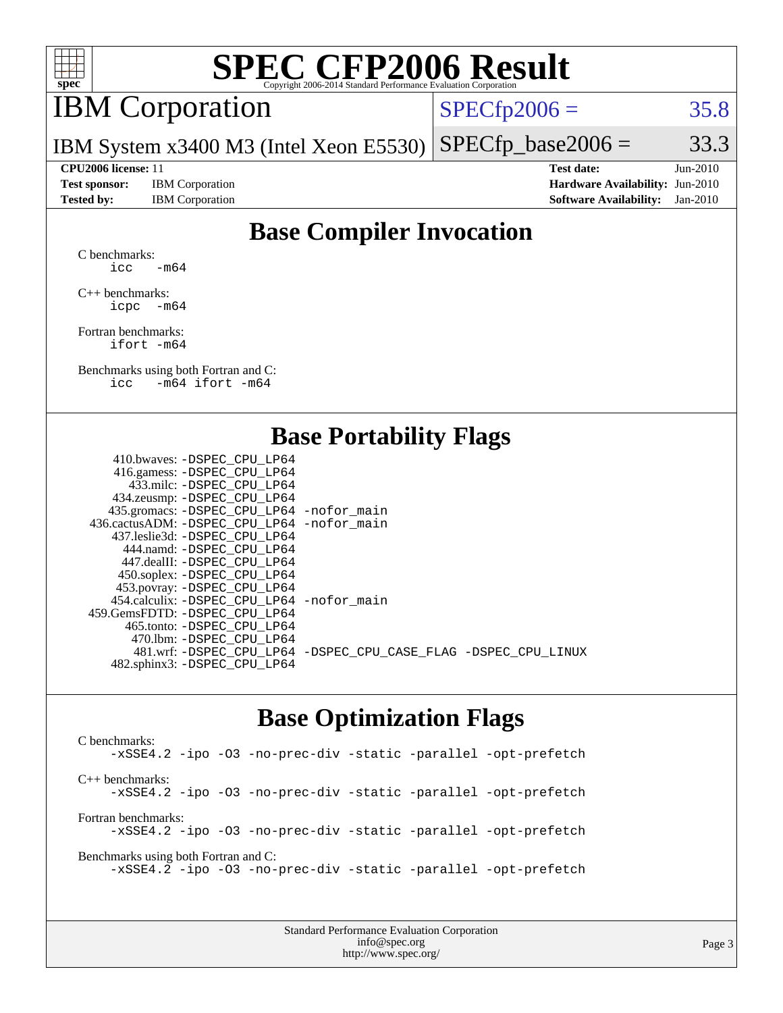

## IBM Corporation

 $SPECTp2006 = 35.8$ 

IBM System x3400 M3 (Intel Xeon E5530)  $SPECTp\_base2006 = 33.3$ 

**[Test sponsor:](http://www.spec.org/auto/cpu2006/Docs/result-fields.html#Testsponsor)** IBM Corporation **[Hardware Availability:](http://www.spec.org/auto/cpu2006/Docs/result-fields.html#HardwareAvailability)** Jun-2010

**[CPU2006 license:](http://www.spec.org/auto/cpu2006/Docs/result-fields.html#CPU2006license)** 11 **[Test date:](http://www.spec.org/auto/cpu2006/Docs/result-fields.html#Testdate)** Jun-2010 **[Tested by:](http://www.spec.org/auto/cpu2006/Docs/result-fields.html#Testedby)** IBM Corporation **[Software Availability:](http://www.spec.org/auto/cpu2006/Docs/result-fields.html#SoftwareAvailability)** Jan-2010

### **[Base Compiler Invocation](http://www.spec.org/auto/cpu2006/Docs/result-fields.html#BaseCompilerInvocation)**

[C benchmarks](http://www.spec.org/auto/cpu2006/Docs/result-fields.html#Cbenchmarks): icc  $-m64$ 

[C++ benchmarks:](http://www.spec.org/auto/cpu2006/Docs/result-fields.html#CXXbenchmarks) [icpc -m64](http://www.spec.org/cpu2006/results/res2010q3/cpu2006-20100621-11807.flags.html#user_CXXbase_intel_icpc_64bit_bedb90c1146cab66620883ef4f41a67e)

[Fortran benchmarks](http://www.spec.org/auto/cpu2006/Docs/result-fields.html#Fortranbenchmarks): [ifort -m64](http://www.spec.org/cpu2006/results/res2010q3/cpu2006-20100621-11807.flags.html#user_FCbase_intel_ifort_64bit_ee9d0fb25645d0210d97eb0527dcc06e)

[Benchmarks using both Fortran and C](http://www.spec.org/auto/cpu2006/Docs/result-fields.html#BenchmarksusingbothFortranandC): [icc -m64](http://www.spec.org/cpu2006/results/res2010q3/cpu2006-20100621-11807.flags.html#user_CC_FCbase_intel_icc_64bit_0b7121f5ab7cfabee23d88897260401c) [ifort -m64](http://www.spec.org/cpu2006/results/res2010q3/cpu2006-20100621-11807.flags.html#user_CC_FCbase_intel_ifort_64bit_ee9d0fb25645d0210d97eb0527dcc06e)

#### **[Base Portability Flags](http://www.spec.org/auto/cpu2006/Docs/result-fields.html#BasePortabilityFlags)**

| 410.bwaves: -DSPEC CPU LP64                 |                                                                |
|---------------------------------------------|----------------------------------------------------------------|
| 416.gamess: - DSPEC_CPU_LP64                |                                                                |
| 433.milc: -DSPEC CPU LP64                   |                                                                |
| 434.zeusmp: -DSPEC_CPU_LP64                 |                                                                |
| 435.gromacs: -DSPEC_CPU_LP64 -nofor_main    |                                                                |
| 436.cactusADM: -DSPEC CPU LP64 -nofor main  |                                                                |
| 437.leslie3d: -DSPEC CPU LP64               |                                                                |
| 444.namd: -DSPEC CPU LP64                   |                                                                |
| 447.dealII: -DSPEC CPU LP64                 |                                                                |
| 450.soplex: -DSPEC_CPU_LP64                 |                                                                |
| 453.povray: -DSPEC_CPU_LP64                 |                                                                |
| 454.calculix: - DSPEC CPU LP64 - nofor main |                                                                |
| 459.GemsFDTD: -DSPEC CPU LP64               |                                                                |
| 465.tonto: - DSPEC CPU LP64                 |                                                                |
| 470.1bm: - DSPEC CPU LP64                   |                                                                |
|                                             | 481.wrf: -DSPEC_CPU_LP64 -DSPEC_CPU_CASE_FLAG -DSPEC_CPU_LINUX |
| 482.sphinx3: -DSPEC_CPU_LP64                |                                                                |
|                                             |                                                                |

#### **[Base Optimization Flags](http://www.spec.org/auto/cpu2006/Docs/result-fields.html#BaseOptimizationFlags)**

[C benchmarks](http://www.spec.org/auto/cpu2006/Docs/result-fields.html#Cbenchmarks): [-xSSE4.2](http://www.spec.org/cpu2006/results/res2010q3/cpu2006-20100621-11807.flags.html#user_CCbase_f-xSSE42_f91528193cf0b216347adb8b939d4107) [-ipo](http://www.spec.org/cpu2006/results/res2010q3/cpu2006-20100621-11807.flags.html#user_CCbase_f-ipo) [-O3](http://www.spec.org/cpu2006/results/res2010q3/cpu2006-20100621-11807.flags.html#user_CCbase_f-O3) [-no-prec-div](http://www.spec.org/cpu2006/results/res2010q3/cpu2006-20100621-11807.flags.html#user_CCbase_f-no-prec-div) [-static](http://www.spec.org/cpu2006/results/res2010q3/cpu2006-20100621-11807.flags.html#user_CCbase_f-static) [-parallel](http://www.spec.org/cpu2006/results/res2010q3/cpu2006-20100621-11807.flags.html#user_CCbase_f-parallel) [-opt-prefetch](http://www.spec.org/cpu2006/results/res2010q3/cpu2006-20100621-11807.flags.html#user_CCbase_f-opt-prefetch) [C++ benchmarks:](http://www.spec.org/auto/cpu2006/Docs/result-fields.html#CXXbenchmarks) [-xSSE4.2](http://www.spec.org/cpu2006/results/res2010q3/cpu2006-20100621-11807.flags.html#user_CXXbase_f-xSSE42_f91528193cf0b216347adb8b939d4107) [-ipo](http://www.spec.org/cpu2006/results/res2010q3/cpu2006-20100621-11807.flags.html#user_CXXbase_f-ipo) [-O3](http://www.spec.org/cpu2006/results/res2010q3/cpu2006-20100621-11807.flags.html#user_CXXbase_f-O3) [-no-prec-div](http://www.spec.org/cpu2006/results/res2010q3/cpu2006-20100621-11807.flags.html#user_CXXbase_f-no-prec-div) [-static](http://www.spec.org/cpu2006/results/res2010q3/cpu2006-20100621-11807.flags.html#user_CXXbase_f-static) [-parallel](http://www.spec.org/cpu2006/results/res2010q3/cpu2006-20100621-11807.flags.html#user_CXXbase_f-parallel) [-opt-prefetch](http://www.spec.org/cpu2006/results/res2010q3/cpu2006-20100621-11807.flags.html#user_CXXbase_f-opt-prefetch) [Fortran benchmarks](http://www.spec.org/auto/cpu2006/Docs/result-fields.html#Fortranbenchmarks): [-xSSE4.2](http://www.spec.org/cpu2006/results/res2010q3/cpu2006-20100621-11807.flags.html#user_FCbase_f-xSSE42_f91528193cf0b216347adb8b939d4107) [-ipo](http://www.spec.org/cpu2006/results/res2010q3/cpu2006-20100621-11807.flags.html#user_FCbase_f-ipo) [-O3](http://www.spec.org/cpu2006/results/res2010q3/cpu2006-20100621-11807.flags.html#user_FCbase_f-O3) [-no-prec-div](http://www.spec.org/cpu2006/results/res2010q3/cpu2006-20100621-11807.flags.html#user_FCbase_f-no-prec-div) [-static](http://www.spec.org/cpu2006/results/res2010q3/cpu2006-20100621-11807.flags.html#user_FCbase_f-static) [-parallel](http://www.spec.org/cpu2006/results/res2010q3/cpu2006-20100621-11807.flags.html#user_FCbase_f-parallel) [-opt-prefetch](http://www.spec.org/cpu2006/results/res2010q3/cpu2006-20100621-11807.flags.html#user_FCbase_f-opt-prefetch) [Benchmarks using both Fortran and C](http://www.spec.org/auto/cpu2006/Docs/result-fields.html#BenchmarksusingbothFortranandC): [-xSSE4.2](http://www.spec.org/cpu2006/results/res2010q3/cpu2006-20100621-11807.flags.html#user_CC_FCbase_f-xSSE42_f91528193cf0b216347adb8b939d4107) [-ipo](http://www.spec.org/cpu2006/results/res2010q3/cpu2006-20100621-11807.flags.html#user_CC_FCbase_f-ipo) [-O3](http://www.spec.org/cpu2006/results/res2010q3/cpu2006-20100621-11807.flags.html#user_CC_FCbase_f-O3) [-no-prec-div](http://www.spec.org/cpu2006/results/res2010q3/cpu2006-20100621-11807.flags.html#user_CC_FCbase_f-no-prec-div) [-static](http://www.spec.org/cpu2006/results/res2010q3/cpu2006-20100621-11807.flags.html#user_CC_FCbase_f-static) [-parallel](http://www.spec.org/cpu2006/results/res2010q3/cpu2006-20100621-11807.flags.html#user_CC_FCbase_f-parallel) [-opt-prefetch](http://www.spec.org/cpu2006/results/res2010q3/cpu2006-20100621-11807.flags.html#user_CC_FCbase_f-opt-prefetch)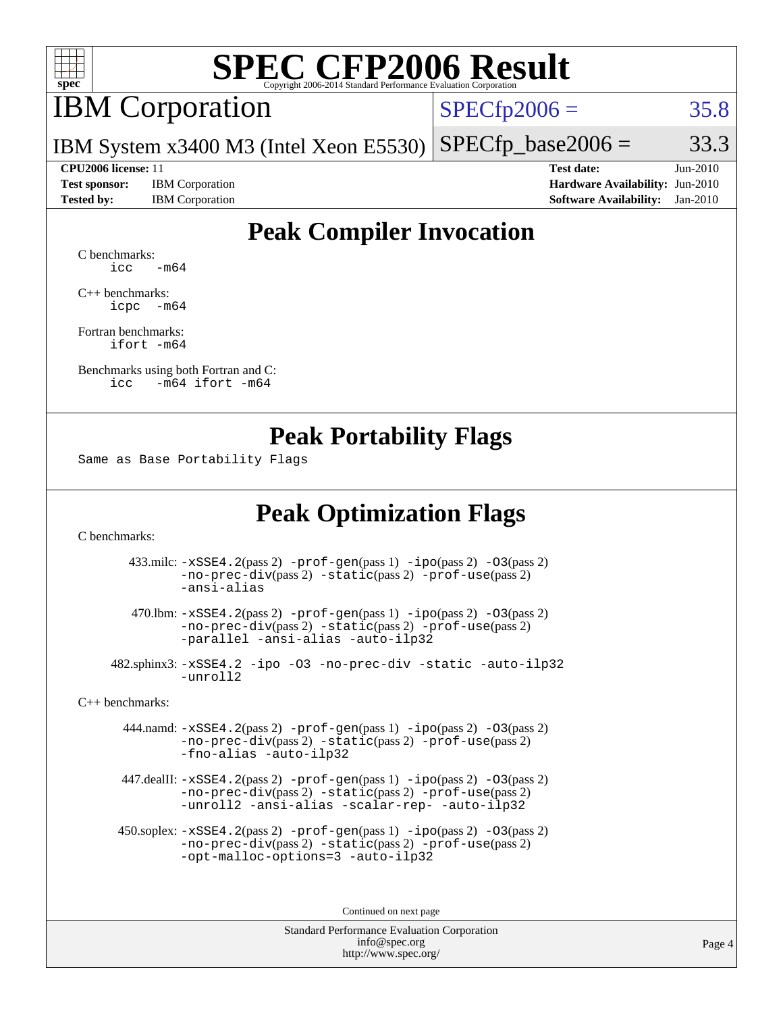

### IBM Corporation

 $SPECTp2006 = 35.8$ 

IBM System x3400 M3 (Intel Xeon E5530)  $SPECTp\_base2006 = 33.3$ 

**[Test sponsor:](http://www.spec.org/auto/cpu2006/Docs/result-fields.html#Testsponsor)** IBM Corporation **[Hardware Availability:](http://www.spec.org/auto/cpu2006/Docs/result-fields.html#HardwareAvailability)** Jun-2010

**[CPU2006 license:](http://www.spec.org/auto/cpu2006/Docs/result-fields.html#CPU2006license)** 11 **[Test date:](http://www.spec.org/auto/cpu2006/Docs/result-fields.html#Testdate)** Jun-2010 **[Tested by:](http://www.spec.org/auto/cpu2006/Docs/result-fields.html#Testedby)** IBM Corporation **[Software Availability:](http://www.spec.org/auto/cpu2006/Docs/result-fields.html#SoftwareAvailability)** Jan-2010

### **[Peak Compiler Invocation](http://www.spec.org/auto/cpu2006/Docs/result-fields.html#PeakCompilerInvocation)**

[C benchmarks](http://www.spec.org/auto/cpu2006/Docs/result-fields.html#Cbenchmarks):  $\text{icc}$   $-\text{m64}$ 

[C++ benchmarks:](http://www.spec.org/auto/cpu2006/Docs/result-fields.html#CXXbenchmarks) [icpc -m64](http://www.spec.org/cpu2006/results/res2010q3/cpu2006-20100621-11807.flags.html#user_CXXpeak_intel_icpc_64bit_bedb90c1146cab66620883ef4f41a67e)

[Fortran benchmarks](http://www.spec.org/auto/cpu2006/Docs/result-fields.html#Fortranbenchmarks): [ifort -m64](http://www.spec.org/cpu2006/results/res2010q3/cpu2006-20100621-11807.flags.html#user_FCpeak_intel_ifort_64bit_ee9d0fb25645d0210d97eb0527dcc06e)

[Benchmarks using both Fortran and C](http://www.spec.org/auto/cpu2006/Docs/result-fields.html#BenchmarksusingbothFortranandC): [icc -m64](http://www.spec.org/cpu2006/results/res2010q3/cpu2006-20100621-11807.flags.html#user_CC_FCpeak_intel_icc_64bit_0b7121f5ab7cfabee23d88897260401c) [ifort -m64](http://www.spec.org/cpu2006/results/res2010q3/cpu2006-20100621-11807.flags.html#user_CC_FCpeak_intel_ifort_64bit_ee9d0fb25645d0210d97eb0527dcc06e)

#### **[Peak Portability Flags](http://www.spec.org/auto/cpu2006/Docs/result-fields.html#PeakPortabilityFlags)**

Same as Base Portability Flags

### **[Peak Optimization Flags](http://www.spec.org/auto/cpu2006/Docs/result-fields.html#PeakOptimizationFlags)**

[C benchmarks](http://www.spec.org/auto/cpu2006/Docs/result-fields.html#Cbenchmarks):

 433.milc: [-xSSE4.2](http://www.spec.org/cpu2006/results/res2010q3/cpu2006-20100621-11807.flags.html#user_peakPASS2_CFLAGSPASS2_LDFLAGS433_milc_f-xSSE42_f91528193cf0b216347adb8b939d4107)(pass 2) [-prof-gen](http://www.spec.org/cpu2006/results/res2010q3/cpu2006-20100621-11807.flags.html#user_peakPASS1_CFLAGSPASS1_LDFLAGS433_milc_prof_gen_e43856698f6ca7b7e442dfd80e94a8fc)(pass 1) [-ipo](http://www.spec.org/cpu2006/results/res2010q3/cpu2006-20100621-11807.flags.html#user_peakPASS2_CFLAGSPASS2_LDFLAGS433_milc_f-ipo)(pass 2) [-O3](http://www.spec.org/cpu2006/results/res2010q3/cpu2006-20100621-11807.flags.html#user_peakPASS2_CFLAGSPASS2_LDFLAGS433_milc_f-O3)(pass 2) [-no-prec-div](http://www.spec.org/cpu2006/results/res2010q3/cpu2006-20100621-11807.flags.html#user_peakPASS2_CFLAGSPASS2_LDFLAGS433_milc_f-no-prec-div)(pass 2) [-static](http://www.spec.org/cpu2006/results/res2010q3/cpu2006-20100621-11807.flags.html#user_peakPASS2_CFLAGSPASS2_LDFLAGS433_milc_f-static)(pass 2) [-prof-use](http://www.spec.org/cpu2006/results/res2010q3/cpu2006-20100621-11807.flags.html#user_peakPASS2_CFLAGSPASS2_LDFLAGS433_milc_prof_use_bccf7792157ff70d64e32fe3e1250b55)(pass 2) [-ansi-alias](http://www.spec.org/cpu2006/results/res2010q3/cpu2006-20100621-11807.flags.html#user_peakOPTIMIZE433_milc_f-ansi-alias)

 470.lbm: [-xSSE4.2](http://www.spec.org/cpu2006/results/res2010q3/cpu2006-20100621-11807.flags.html#user_peakPASS2_CFLAGSPASS2_LDFLAGS470_lbm_f-xSSE42_f91528193cf0b216347adb8b939d4107)(pass 2) [-prof-gen](http://www.spec.org/cpu2006/results/res2010q3/cpu2006-20100621-11807.flags.html#user_peakPASS1_CFLAGSPASS1_LDFLAGS470_lbm_prof_gen_e43856698f6ca7b7e442dfd80e94a8fc)(pass 1) [-ipo](http://www.spec.org/cpu2006/results/res2010q3/cpu2006-20100621-11807.flags.html#user_peakPASS2_CFLAGSPASS2_LDFLAGS470_lbm_f-ipo)(pass 2) [-O3](http://www.spec.org/cpu2006/results/res2010q3/cpu2006-20100621-11807.flags.html#user_peakPASS2_CFLAGSPASS2_LDFLAGS470_lbm_f-O3)(pass 2) [-no-prec-div](http://www.spec.org/cpu2006/results/res2010q3/cpu2006-20100621-11807.flags.html#user_peakPASS2_CFLAGSPASS2_LDFLAGS470_lbm_f-no-prec-div)(pass 2) [-static](http://www.spec.org/cpu2006/results/res2010q3/cpu2006-20100621-11807.flags.html#user_peakPASS2_CFLAGSPASS2_LDFLAGS470_lbm_f-static)(pass 2) [-prof-use](http://www.spec.org/cpu2006/results/res2010q3/cpu2006-20100621-11807.flags.html#user_peakPASS2_CFLAGSPASS2_LDFLAGS470_lbm_prof_use_bccf7792157ff70d64e32fe3e1250b55)(pass 2) [-parallel](http://www.spec.org/cpu2006/results/res2010q3/cpu2006-20100621-11807.flags.html#user_peakOPTIMIZE470_lbm_f-parallel) [-ansi-alias](http://www.spec.org/cpu2006/results/res2010q3/cpu2006-20100621-11807.flags.html#user_peakOPTIMIZE470_lbm_f-ansi-alias) [-auto-ilp32](http://www.spec.org/cpu2006/results/res2010q3/cpu2006-20100621-11807.flags.html#user_peakCOPTIMIZE470_lbm_f-auto-ilp32)

 482.sphinx3: [-xSSE4.2](http://www.spec.org/cpu2006/results/res2010q3/cpu2006-20100621-11807.flags.html#user_peakOPTIMIZE482_sphinx3_f-xSSE42_f91528193cf0b216347adb8b939d4107) [-ipo](http://www.spec.org/cpu2006/results/res2010q3/cpu2006-20100621-11807.flags.html#user_peakOPTIMIZE482_sphinx3_f-ipo) [-O3](http://www.spec.org/cpu2006/results/res2010q3/cpu2006-20100621-11807.flags.html#user_peakOPTIMIZE482_sphinx3_f-O3) [-no-prec-div](http://www.spec.org/cpu2006/results/res2010q3/cpu2006-20100621-11807.flags.html#user_peakOPTIMIZE482_sphinx3_f-no-prec-div) [-static](http://www.spec.org/cpu2006/results/res2010q3/cpu2006-20100621-11807.flags.html#user_peakOPTIMIZE482_sphinx3_f-static) [-auto-ilp32](http://www.spec.org/cpu2006/results/res2010q3/cpu2006-20100621-11807.flags.html#user_peakCOPTIMIZE482_sphinx3_f-auto-ilp32) [-unroll2](http://www.spec.org/cpu2006/results/res2010q3/cpu2006-20100621-11807.flags.html#user_peakCOPTIMIZE482_sphinx3_f-unroll_784dae83bebfb236979b41d2422d7ec2)

[C++ benchmarks:](http://www.spec.org/auto/cpu2006/Docs/result-fields.html#CXXbenchmarks)

 444.namd: [-xSSE4.2](http://www.spec.org/cpu2006/results/res2010q3/cpu2006-20100621-11807.flags.html#user_peakPASS2_CXXFLAGSPASS2_LDFLAGS444_namd_f-xSSE42_f91528193cf0b216347adb8b939d4107)(pass 2) [-prof-gen](http://www.spec.org/cpu2006/results/res2010q3/cpu2006-20100621-11807.flags.html#user_peakPASS1_CXXFLAGSPASS1_LDFLAGS444_namd_prof_gen_e43856698f6ca7b7e442dfd80e94a8fc)(pass 1) [-ipo](http://www.spec.org/cpu2006/results/res2010q3/cpu2006-20100621-11807.flags.html#user_peakPASS2_CXXFLAGSPASS2_LDFLAGS444_namd_f-ipo)(pass 2) [-O3](http://www.spec.org/cpu2006/results/res2010q3/cpu2006-20100621-11807.flags.html#user_peakPASS2_CXXFLAGSPASS2_LDFLAGS444_namd_f-O3)(pass 2) [-no-prec-div](http://www.spec.org/cpu2006/results/res2010q3/cpu2006-20100621-11807.flags.html#user_peakPASS2_CXXFLAGSPASS2_LDFLAGS444_namd_f-no-prec-div)(pass 2) [-static](http://www.spec.org/cpu2006/results/res2010q3/cpu2006-20100621-11807.flags.html#user_peakPASS2_CXXFLAGSPASS2_LDFLAGS444_namd_f-static)(pass 2) [-prof-use](http://www.spec.org/cpu2006/results/res2010q3/cpu2006-20100621-11807.flags.html#user_peakPASS2_CXXFLAGSPASS2_LDFLAGS444_namd_prof_use_bccf7792157ff70d64e32fe3e1250b55)(pass 2) [-fno-alias](http://www.spec.org/cpu2006/results/res2010q3/cpu2006-20100621-11807.flags.html#user_peakOPTIMIZE444_namd_f-no-alias_694e77f6c5a51e658e82ccff53a9e63a) [-auto-ilp32](http://www.spec.org/cpu2006/results/res2010q3/cpu2006-20100621-11807.flags.html#user_peakCXXOPTIMIZE444_namd_f-auto-ilp32)

 447.dealII: [-xSSE4.2](http://www.spec.org/cpu2006/results/res2010q3/cpu2006-20100621-11807.flags.html#user_peakPASS2_CXXFLAGSPASS2_LDFLAGS447_dealII_f-xSSE42_f91528193cf0b216347adb8b939d4107)(pass 2) [-prof-gen](http://www.spec.org/cpu2006/results/res2010q3/cpu2006-20100621-11807.flags.html#user_peakPASS1_CXXFLAGSPASS1_LDFLAGS447_dealII_prof_gen_e43856698f6ca7b7e442dfd80e94a8fc)(pass 1) [-ipo](http://www.spec.org/cpu2006/results/res2010q3/cpu2006-20100621-11807.flags.html#user_peakPASS2_CXXFLAGSPASS2_LDFLAGS447_dealII_f-ipo)(pass 2) [-O3](http://www.spec.org/cpu2006/results/res2010q3/cpu2006-20100621-11807.flags.html#user_peakPASS2_CXXFLAGSPASS2_LDFLAGS447_dealII_f-O3)(pass 2) [-no-prec-div](http://www.spec.org/cpu2006/results/res2010q3/cpu2006-20100621-11807.flags.html#user_peakPASS2_CXXFLAGSPASS2_LDFLAGS447_dealII_f-no-prec-div)(pass 2) [-static](http://www.spec.org/cpu2006/results/res2010q3/cpu2006-20100621-11807.flags.html#user_peakPASS2_CXXFLAGSPASS2_LDFLAGS447_dealII_f-static)(pass 2) [-prof-use](http://www.spec.org/cpu2006/results/res2010q3/cpu2006-20100621-11807.flags.html#user_peakPASS2_CXXFLAGSPASS2_LDFLAGS447_dealII_prof_use_bccf7792157ff70d64e32fe3e1250b55)(pass 2) [-unroll2](http://www.spec.org/cpu2006/results/res2010q3/cpu2006-20100621-11807.flags.html#user_peakOPTIMIZE447_dealII_f-unroll_784dae83bebfb236979b41d2422d7ec2) [-ansi-alias](http://www.spec.org/cpu2006/results/res2010q3/cpu2006-20100621-11807.flags.html#user_peakOPTIMIZE447_dealII_f-ansi-alias) [-scalar-rep-](http://www.spec.org/cpu2006/results/res2010q3/cpu2006-20100621-11807.flags.html#user_peakOPTIMIZE447_dealII_f-disablescalarrep_abbcad04450fb118e4809c81d83c8a1d) [-auto-ilp32](http://www.spec.org/cpu2006/results/res2010q3/cpu2006-20100621-11807.flags.html#user_peakCXXOPTIMIZE447_dealII_f-auto-ilp32)

 450.soplex: [-xSSE4.2](http://www.spec.org/cpu2006/results/res2010q3/cpu2006-20100621-11807.flags.html#user_peakPASS2_CXXFLAGSPASS2_LDFLAGS450_soplex_f-xSSE42_f91528193cf0b216347adb8b939d4107)(pass 2) [-prof-gen](http://www.spec.org/cpu2006/results/res2010q3/cpu2006-20100621-11807.flags.html#user_peakPASS1_CXXFLAGSPASS1_LDFLAGS450_soplex_prof_gen_e43856698f6ca7b7e442dfd80e94a8fc)(pass 1) [-ipo](http://www.spec.org/cpu2006/results/res2010q3/cpu2006-20100621-11807.flags.html#user_peakPASS2_CXXFLAGSPASS2_LDFLAGS450_soplex_f-ipo)(pass 2) [-O3](http://www.spec.org/cpu2006/results/res2010q3/cpu2006-20100621-11807.flags.html#user_peakPASS2_CXXFLAGSPASS2_LDFLAGS450_soplex_f-O3)(pass 2) [-no-prec-div](http://www.spec.org/cpu2006/results/res2010q3/cpu2006-20100621-11807.flags.html#user_peakPASS2_CXXFLAGSPASS2_LDFLAGS450_soplex_f-no-prec-div)(pass 2) [-static](http://www.spec.org/cpu2006/results/res2010q3/cpu2006-20100621-11807.flags.html#user_peakPASS2_CXXFLAGSPASS2_LDFLAGS450_soplex_f-static)(pass 2) [-prof-use](http://www.spec.org/cpu2006/results/res2010q3/cpu2006-20100621-11807.flags.html#user_peakPASS2_CXXFLAGSPASS2_LDFLAGS450_soplex_prof_use_bccf7792157ff70d64e32fe3e1250b55)(pass 2) [-opt-malloc-options=3](http://www.spec.org/cpu2006/results/res2010q3/cpu2006-20100621-11807.flags.html#user_peakOPTIMIZE450_soplex_f-opt-malloc-options_13ab9b803cf986b4ee62f0a5998c2238) [-auto-ilp32](http://www.spec.org/cpu2006/results/res2010q3/cpu2006-20100621-11807.flags.html#user_peakCXXOPTIMIZE450_soplex_f-auto-ilp32)

Continued on next page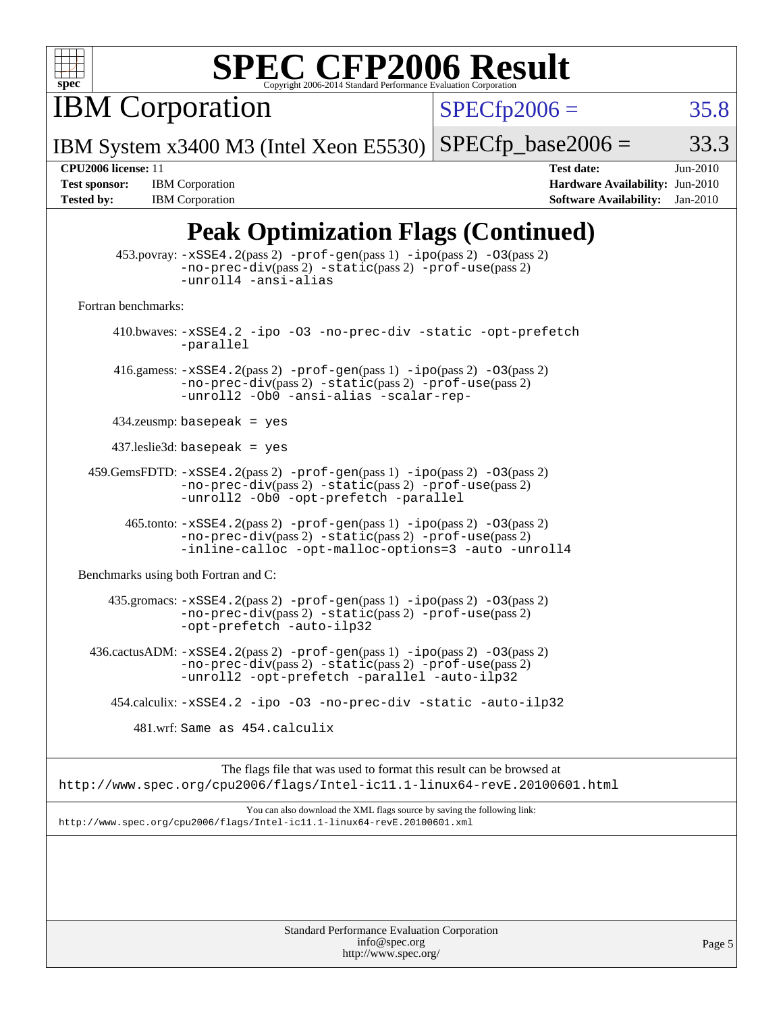

IBM Corporation

 $SPECTp2006 = 35.8$ 

IBM System x3400 M3 (Intel Xeon E5530)  $SPECTp\_base2006 = 33.3$ 

**[Tested by:](http://www.spec.org/auto/cpu2006/Docs/result-fields.html#Testedby)** IBM Corporation **[Software Availability:](http://www.spec.org/auto/cpu2006/Docs/result-fields.html#SoftwareAvailability)** Jan-2010

**[CPU2006 license:](http://www.spec.org/auto/cpu2006/Docs/result-fields.html#CPU2006license)** 11 **[Test date:](http://www.spec.org/auto/cpu2006/Docs/result-fields.html#Testdate)** Jun-2010 **[Test sponsor:](http://www.spec.org/auto/cpu2006/Docs/result-fields.html#Testsponsor)** IBM Corporation **[Hardware Availability:](http://www.spec.org/auto/cpu2006/Docs/result-fields.html#HardwareAvailability)** Jun-2010

### **[Peak Optimization Flags \(Continued\)](http://www.spec.org/auto/cpu2006/Docs/result-fields.html#PeakOptimizationFlags)**

|                                      | $\frac{1}{2}$                                                                                                                                                                                      |
|--------------------------------------|----------------------------------------------------------------------------------------------------------------------------------------------------------------------------------------------------|
|                                      | $453.$ povray: $-xSSE4.2(pass2)$ -prof-gen $(pass1)$ -ipo $(pass2)$ -03 $(pass2)$<br>-no-prec-div(pass 2) -static(pass 2) -prof-use(pass 2)<br>-unroll4 -ansi-alias                                |
| Fortran benchmarks:                  |                                                                                                                                                                                                    |
|                                      | 410.bwaves: -xSSE4.2 -ipo -03 -no-prec-div -static -opt-prefetch<br>-parallel                                                                                                                      |
|                                      | 416.gamess: $-xSSE4$ . 2(pass 2) $-prof-gen(pass 1) -ipo(pass 2) -O3(pass 2)$<br>-no-prec-div(pass 2) -static(pass 2) -prof-use(pass 2)<br>-unroll2 -Ob0 -ansi-alias -scalar-rep-                  |
| $434$ .zeusmp: basepeak = yes        |                                                                                                                                                                                                    |
| $437$ .leslie3d: basepeak = yes      |                                                                                                                                                                                                    |
|                                      | $459.GemsFDTD: -xSSE4.2(pass 2) -prof-gen(pass 1) -ipo(pass 2) -03(pass 2)$<br>$-no\text{-prec-div}(pass 2)$ $-static(pass 2)$ $-prot\text{-use}(pass 2)$<br>-unroll2 -Ob0 -opt-prefetch -parallel |
|                                      | 465.tonto: -xSSE4.2(pass 2) -prof-gen(pass 1) -ipo(pass 2) -03(pass 2)<br>-no-prec-div(pass 2) -static(pass 2) -prof-use(pass 2)<br>-inline-calloc -opt-malloc-options=3 -auto -unroll4            |
| Benchmarks using both Fortran and C: |                                                                                                                                                                                                    |
|                                      | 435.gromacs: -xSSE4.2(pass 2) -prof-gen(pass 1) -ipo(pass 2) -03(pass 2)<br>-no-prec-div(pass 2) -static(pass 2) -prof-use(pass 2)<br>-opt-prefetch -auto-ilp32                                    |
|                                      | 436.cactusADM: -xSSE4.2(pass 2) -prof-gen(pass 1) -ipo(pass 2) -03(pass 2)<br>-no-prec-div(pass 2) -static(pass 2) -prof-use(pass 2)<br>-unroll2 -opt-prefetch -parallel -auto-ilp32               |
|                                      | 454.calculix: -xSSE4.2 -ipo -03 -no-prec-div -static -auto-ilp32                                                                                                                                   |
|                                      | 481.wrf: Same as 454.calculix                                                                                                                                                                      |
|                                      | The flags file that was used to format this result can be browsed at<br>http://www.spec.org/cpu2006/flags/Intel-ic11.1-linux64-revE.20100601.html                                                  |
|                                      | You can also download the XML flags source by saving the following link:<br>http://www.spec.org/cpu2006/flags/Intel-icl1.1-linux64-revE.20100601.xml                                               |
|                                      |                                                                                                                                                                                                    |
|                                      |                                                                                                                                                                                                    |